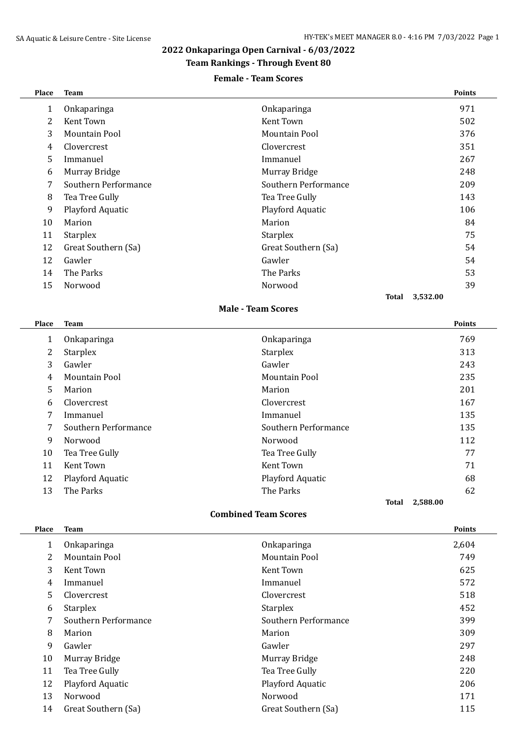# **2022 Onkaparinga Open Carnival - 6/03/2022**

## **Team Rankings - Through Event 80**

#### **Female - Team Scores**

| Place | <b>Team</b>          |                      | <b>Points</b>            |
|-------|----------------------|----------------------|--------------------------|
| 1     | Onkaparinga          | Onkaparinga          | 971                      |
| 2     | Kent Town            | Kent Town            | 502                      |
| 3     | Mountain Pool        | Mountain Pool        | 376                      |
| 4     | Clovercrest          | Clovercrest          | 351                      |
| 5     | Immanuel             | Immanuel             | 267                      |
| 6     | Murray Bridge        | Murray Bridge        | 248                      |
| 7     | Southern Performance | Southern Performance | 209                      |
| 8     | Tea Tree Gully       | Tea Tree Gully       | 143                      |
| 9     | Playford Aquatic     | Playford Aquatic     | 106                      |
| 10    | Marion               | Marion               | 84                       |
| 11    | Starplex             | <b>Starplex</b>      | 75                       |
| 12    | Great Southern (Sa)  | Great Southern (Sa)  | 54                       |
| 12    | Gawler               | Gawler               | 54                       |
| 14    | The Parks            | The Parks            | 53                       |
| 15    | Norwood              | Norwood              | 39                       |
|       |                      |                      | 3,532.00<br><b>Total</b> |
|       |                      |                      |                          |

### **Male - Team Scores**

| Place | <b>Team</b>          |                      | <b>Points</b> |
|-------|----------------------|----------------------|---------------|
| 1     | Onkaparinga          | Onkaparinga          | 769           |
| 2     | <b>Starplex</b>      | <b>Starplex</b>      | 313           |
| 3     | Gawler               | Gawler               | 243           |
| 4     | Mountain Pool        | Mountain Pool        | 235           |
| 5     | Marion               | Marion               | 201           |
| 6     | Clovercrest          | Clovercrest          | 167           |
| 7     | Immanuel             | Immanuel             | 135           |
| 7     | Southern Performance | Southern Performance | 135           |
| 9     | Norwood              | Norwood              | 112           |
| 10    | Tea Tree Gully       | Tea Tree Gully       | 77            |
| 11    | Kent Town            | Kent Town            | 71            |
| 12    | Playford Aquatic     | Playford Aquatic     | 68            |
| 13    | The Parks            | The Parks            | 62            |
|       |                      | Total                | 2,588.00      |

#### **Combined Team Scores**

| <b>Place</b> | <b>Team</b>          |                      | <b>Points</b> |
|--------------|----------------------|----------------------|---------------|
| 1            | Onkaparinga          | Onkaparinga          | 2,604         |
| 2            | Mountain Pool        | Mountain Pool        | 749           |
| 3            | Kent Town            | Kent Town            | 625           |
| 4            | Immanuel             | Immanuel             | 572           |
| 5.           | Clovercrest          | Clovercrest          | 518           |
| 6            | <b>Starplex</b>      | <b>Starplex</b>      | 452           |
| 7            | Southern Performance | Southern Performance | 399           |
| 8            | Marion               | Marion               | 309           |
| 9            | Gawler               | Gawler               | 297           |
| 10           | Murray Bridge        | Murray Bridge        | 248           |
| 11           | Tea Tree Gully       | Tea Tree Gully       | 220           |
| 12           | Playford Aquatic     | Playford Aquatic     | 206           |
| 13           | Norwood              | Norwood              | 171           |
| 14           | Great Southern (Sa)  | Great Southern (Sa)  | 115           |